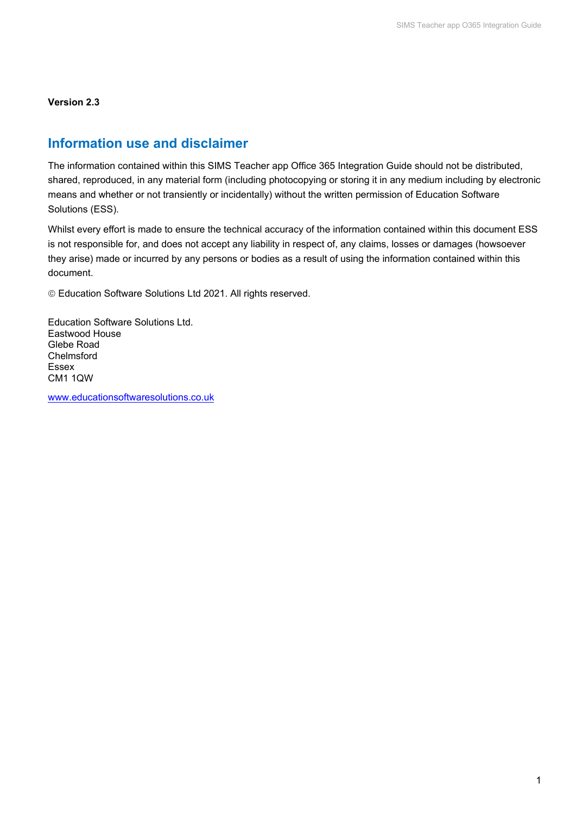**Version 2.5**

### **Information use and disclaimer**

The information contained within this SIMS Teacher app Office 365 Integration Guide should not be distributed, shared, reproduced, in any material form (including photocopying or storing it in any medium including by electronic means and whether or not transiently or incidentally) without the written permission of Education Software Solutions (ESS).

Whilst every effort is made to ensure the technical accuracy of the information contained within this document ESS is not responsible for, and does not accept any liability in respect of, any claims, losses or damages (howsoever they arise) made or incurred by any persons or bodies as a result of using the information contained within this document.

Education Software Solutions Ltd 2021. All rights reserved.

Education Software Solutions Ltd. 11 Kingsley Lodge 13 New Cavendish Street London W1G 9UG

[www.educationsoftwaresolutions.co.uk](http://www.educationsoftwaresolutions.co.uk/)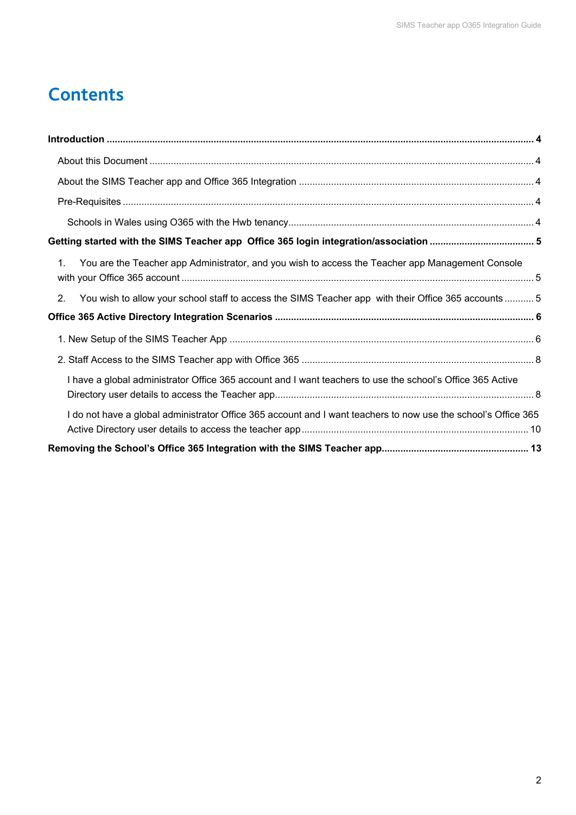# **Contents**

| You are the Teacher app Administrator, and you wish to access the Teacher app Management Console<br>1.         |  |
|----------------------------------------------------------------------------------------------------------------|--|
| You wish to allow your school staff to access the SIMS Teacher app with their Office 365 accounts  5<br>2.     |  |
|                                                                                                                |  |
|                                                                                                                |  |
|                                                                                                                |  |
| I have a global administrator Office 365 account and I want teachers to use the school's Office 365 Active     |  |
| I do not have a global administrator Office 365 account and I want teachers to now use the school's Office 365 |  |
|                                                                                                                |  |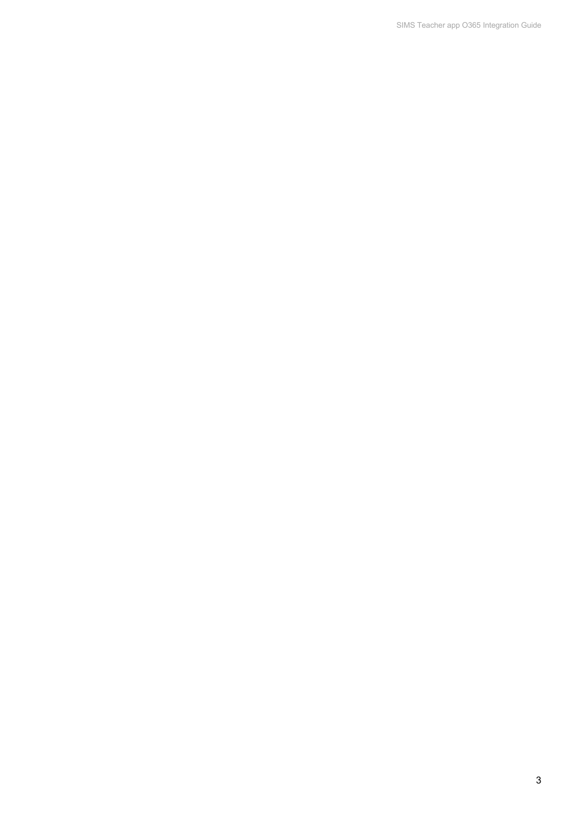SIMS Teacher app O365 Integration Guide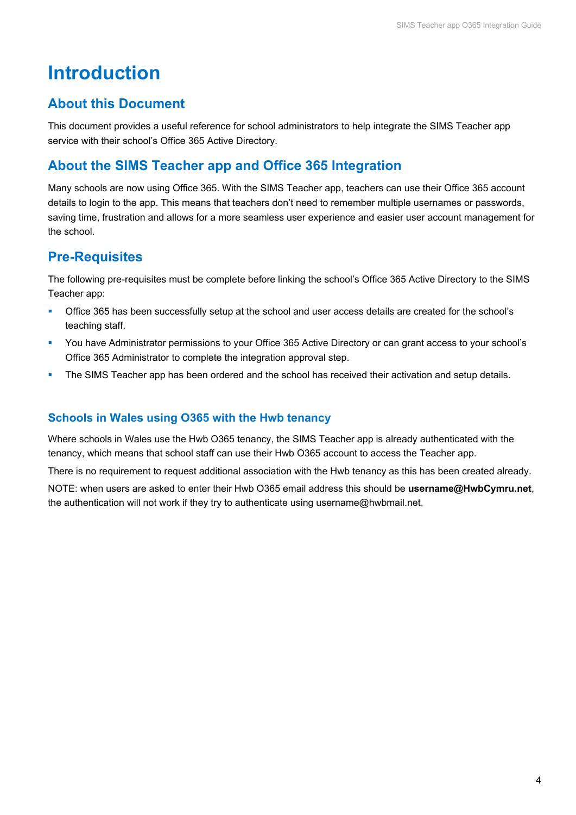# <span id="page-4-0"></span>**Introduction**

### <span id="page-4-1"></span>**About this Document**

This document provides a useful reference for school administrators to help integrate the SIMS Teacher app service with their school's Office 365 Active Directory.

### <span id="page-4-2"></span>**About the SIMS Teacher app and Office 365 Integration**

Many schools are now using Office 365. With the SIMS Teacher app, teachers can use their Office 365 account details to login to the app. This means that teachers don't need to remember multiple usernames or passwords, saving time, frustration and allows for a more seamless user experience and easier user account management for the school.

## <span id="page-4-3"></span>**Pre-Requisites**

The following pre-requisites must be complete before linking the school's Office 365 Active Directory to the SIMS Teacher app:

- Office 365 has been successfully setup at the school and user access details are created for the school's teaching staff.
- You have Administrator permissions to your Office 365 Active Directory or can grant access to your school's Office 365 Administrator to complete the integration approval step.
- **The SIMS Teacher app has been ordered and the school has received their activation and setup details.**

#### <span id="page-4-4"></span>**Schools in Wales using O365 with the Hwb tenancy**

Where schools in Wales use the Hwb O365 tenancy, the SIMS Teacher app is already authenticated with the tenancy, which means that school staff can use their Hwb O365 account to access the Teacher app.

There is no requirement to request additional association with the Hwb tenancy as this has been created already.

NOTE: when users are asked to enter their Hwb O365 email address this should be **username@HwbCymru.net**, the authentication will not work if they try to authenticate using username@hwbmail.net.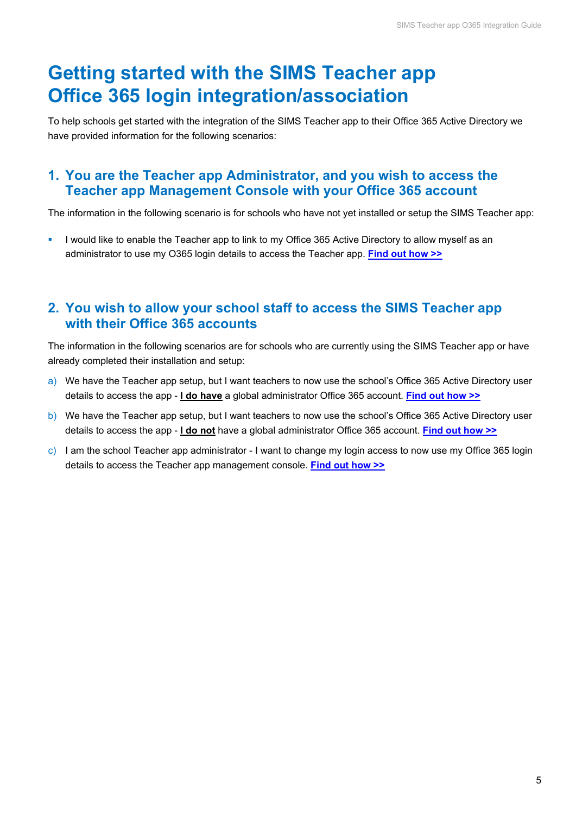# <span id="page-5-0"></span>**Getting started with the SIMS Teacher app Office 365 login integration/association**

To help schools get started with the integration of the SIMS Teacher app to their Office 365 Active Directory we have provided information for the following scenarios:

### <span id="page-5-1"></span>**1. You are the Teacher app Administrator, and you wish to access the Teacher app Management Console with your Office 365 account**

The information in the following scenario is for schools who have not yet installed or setup the SIMS Teacher app:

I vould like to enable the Teacher app to link to my Office 365 Active Directory to allow myself as an administrator to use my O365 login details to access the Teacher app. **[Find out how >>](#page-6-2)**

#### <span id="page-5-2"></span>**2. You wish to allow your school staff to access the SIMS Teacher app with their Office 365 accounts**

The information in the following scenarios are for schools who are currently using the SIMS Teacher app or have already completed their installation and setup:

- a) We have the Teacher app setup, but I want teachers to now use the school's Office 365 Active Directory user details to access the app - **I do have** a global administrator Office 365 account. **[Find out how >>](#page-8-1)**
- b) We have the Teacher app setup, but I want teachers to now use the school's Office 365 Active Directory user details to access the app - **I do not** have a global administrator Office 365 account. **[Find out how >>](#page-10-0)**
- c) I am the school Teacher app administrator I want to change my login access to now use my Office 365 login details to access the Teacher app management console. **[Find out how >>](#page-6-2)**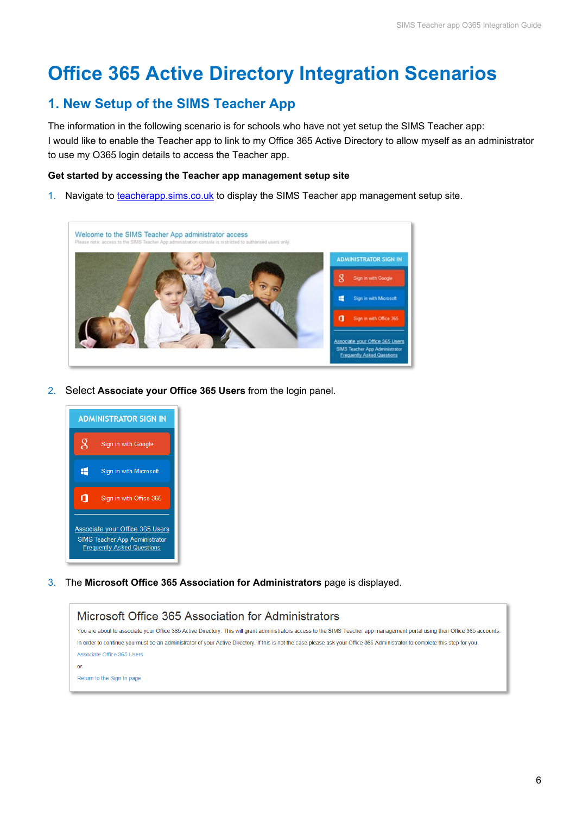# <span id="page-6-0"></span>**Office 365 Active Directory Integration Scenarios**

### <span id="page-6-1"></span>**1. New Setup of the SIMS Teacher App**

<span id="page-6-2"></span>The information in the following scenario is for schools who have not yet setup the SIMS Teacher app: I would like to enable the Teacher app to link to my Office 365 Active Directory to allow myself as an administrator to use my O365 login details to access the Teacher app.

#### **Get started by accessing the Teacher app management setup site**

1. Navigate to [teacherapp.sims.co.uk](https://teacherapp.sims.co.uk/) to display the SIMS Teacher app management setup site.



2. Select **Associate your Office 365 Users** from the login panel.



3. The **Microsoft Office 365 Association for Administrators** page is displayed.

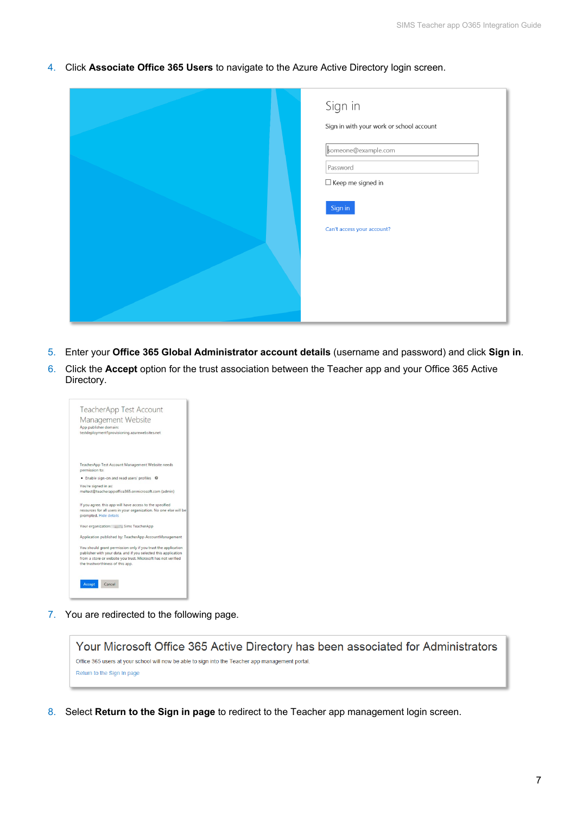4. Click **Associate Office 365 Users** to navigate to the Azure Active Directory login screen.

| Sign in<br>Sign in with your work or school account         |
|-------------------------------------------------------------|
| someone@example.com<br>Password<br>$\Box$ Keep me signed in |
| Sign in<br>Can't access your account?                       |
|                                                             |

- 5. Enter your **Office 365 Global Administrator account details** (username and password) and click **Sign in**.
- 6. Click the **Accept** option for the trust association between the Teacher app and your Office 365 Active Directory.



7. You are redirected to the following page.



8. Select **Return to the Sign in page** to redirect to the Teacher app management login screen.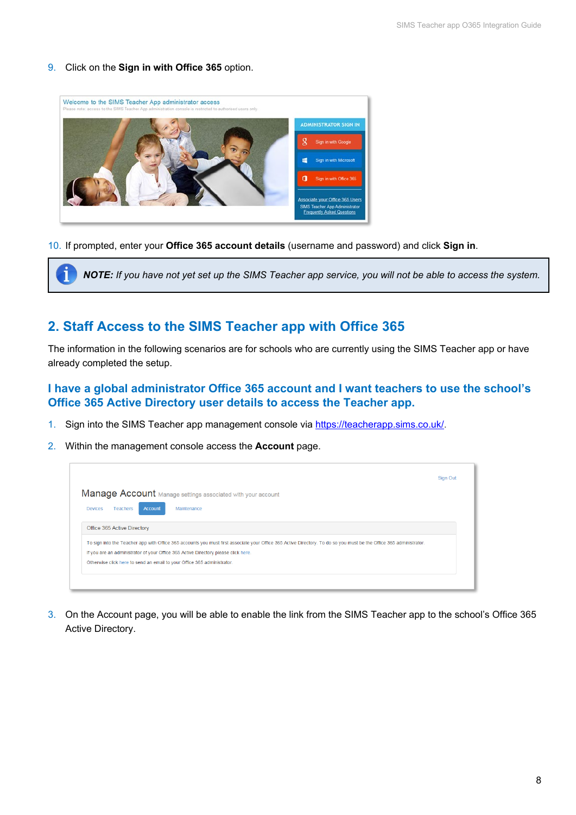9. Click on the **Sign in with Office 365** option.



10. If prompted, enter your **Office 365 account details** (username and password) and click **Sign in**.

*NOTE: If you have not yet set up the SIMS Teacher app service, you will not be able to access the system.*

### <span id="page-8-0"></span>**2. Staff Access to the SIMS Teacher app with Office 365**

The information in the following scenarios are for schools who are currently using the SIMS Teacher app or have already completed the setup.

#### <span id="page-8-1"></span>**I have a global administrator Office 365 account and I want teachers to use the school's Office 365 Active Directory user details to access the Teacher app.**

- 1. Sign into the SIMS Teacher app management console via [https://teacherapp.sims.co.uk/.](https://teacherapp.sims.co.uk/)
- 2. Within the management console access the **Account** page.

|                                                                                    |                                                                                                                                                                     | Sign Out |
|------------------------------------------------------------------------------------|---------------------------------------------------------------------------------------------------------------------------------------------------------------------|----------|
| Manage Account Manage settings associated with your account                        |                                                                                                                                                                     |          |
| <b>Account</b><br>Teachers<br><b>Devices</b>                                       | Maintenance                                                                                                                                                         |          |
| Office 365 Active Directory                                                        |                                                                                                                                                                     |          |
|                                                                                    | To sign into the Teacher app with Office 365 accounts you must first associate your Office 365 Active Directory. To do so you must be the Office 365 administrator. |          |
| If you are an administrator of your Office 365 Active Directory please click here. |                                                                                                                                                                     |          |
| Otherwise click here to send an email to your Office 365 administrator.            |                                                                                                                                                                     |          |

3. On the Account page, you will be able to enable the link from the SIMS Teacher app to the school's Office 365 Active Directory.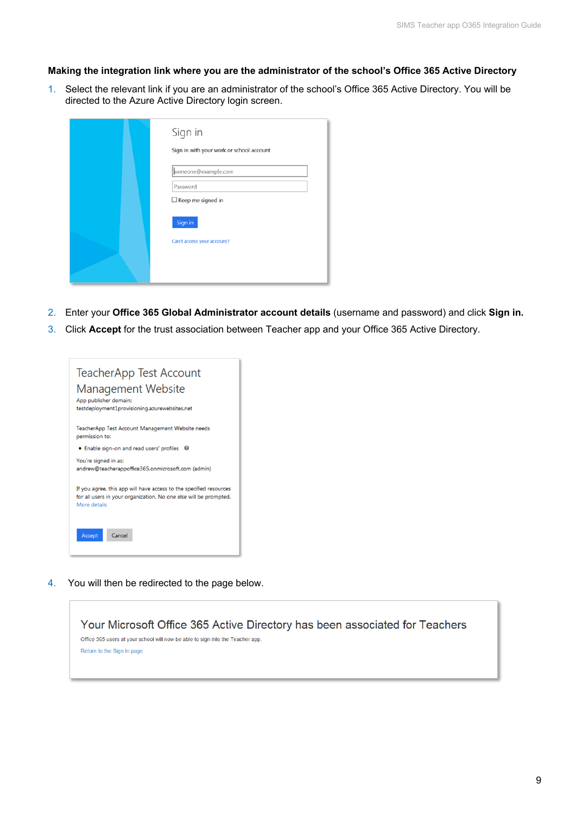#### **Making the integration link where you are the administrator of the school's Office 365 Active Directory**

1. Select the relevant link if you are an administrator of the school's Office 365 Active Directory. You will be directed to the Azure Active Directory login screen.

| Sign in                                  |
|------------------------------------------|
| Sign in with your work or school account |
| someone@example.com<br>Password          |
| $\Box$ Keep me signed in                 |
| Sign in<br>Can't access your account?    |
|                                          |
|                                          |

- 2. Enter your **Office 365 Global Administrator account details** (username and password) and click **Sign in.**
- 3. Click **Accept** for the trust association between Teacher app and your Office 365 Active Directory.

| TeacherApp Test Account<br>Management Website<br>App publisher domain:<br>testdeployment1provisioning.azurewebsites.net                                 |
|---------------------------------------------------------------------------------------------------------------------------------------------------------|
| TeacherApp Test Account Management Website needs<br>permission to:                                                                                      |
| . Enable sign-on and read users' profiles<br>$\boldsymbol{\Omega}$                                                                                      |
| You're signed in as:<br>andrew@teacherappoffice365.onmicrosoft.com (admin)                                                                              |
| If you agree, this app will have access to the specified resources<br>for all users in your organization. No one else will be prompted.<br>More details |
| Accept<br>Cancel                                                                                                                                        |

4. You will then be redirected to the page below.

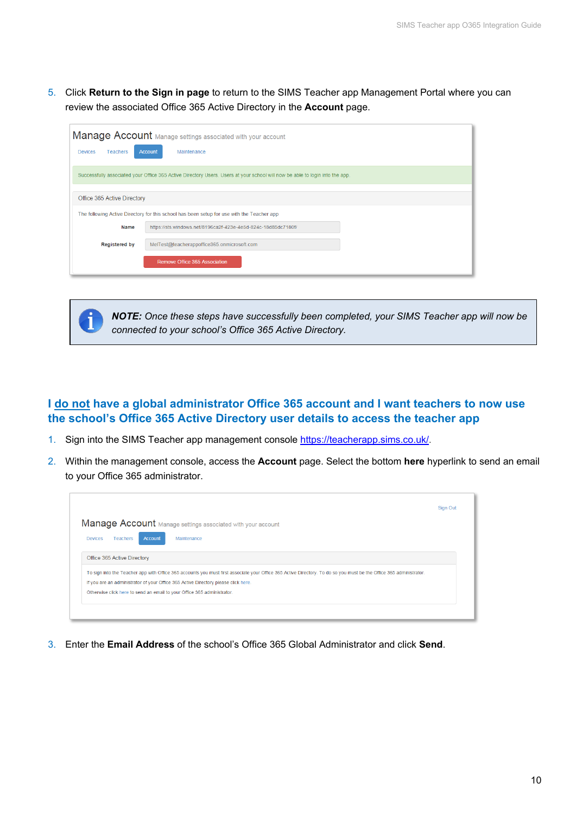5. Click **Return to the Sign in page** to return to the SIMS Teacher app Management Portal where you can review the associated Office 365 Active Directory in the **Account** page.

| Manage Account Manage settings associated with your account |                                                                                                                              |  |  |
|-------------------------------------------------------------|------------------------------------------------------------------------------------------------------------------------------|--|--|
| <b>Devices</b><br><b>Teachers</b>                           | <b>Account</b><br>Maintenance                                                                                                |  |  |
|                                                             | Successfully associated your Office 365 Active Directory Users. Users at your school will now be able to login into the app. |  |  |
| Office 365 Active Directory                                 |                                                                                                                              |  |  |
|                                                             | The following Active Directory for this school has been setup for use with the Teacher app                                   |  |  |
| Name                                                        | https://sts.windows.net/8196ca2f-423e-4e5d-824c-18d85dc7180f/                                                                |  |  |
| <b>Registered by</b>                                        | MeITest@teacherappoffice365.onmicrosoft.com                                                                                  |  |  |
|                                                             | Remove Office 365 Association                                                                                                |  |  |

*NOTE: Once these steps have successfully been completed, your SIMS Teacher app will now be connected to your school's Office 365 Active Directory.*

#### <span id="page-10-0"></span>**I do not have a global administrator Office 365 account and I want teachers to now use the school's Office 365 Active Directory user details to access the teacher app**

- 1. Sign into the SIMS Teacher app management console [https://teacherapp.sims.co.uk/.](https://teacherapp.sims.co.uk/)
- 2. Within the management console, access the **Account** page. Select the bottom **here** hyperlink to send an email to your Office 365 administrator.

|                                                                                                                                                                                                                                                                                                                                      | Sign Out |
|--------------------------------------------------------------------------------------------------------------------------------------------------------------------------------------------------------------------------------------------------------------------------------------------------------------------------------------|----------|
| Manage Account Manage settings associated with your account                                                                                                                                                                                                                                                                          |          |
| <b>Account</b><br>Maintenance<br><b>Teachers</b><br><b>Devices</b>                                                                                                                                                                                                                                                                   |          |
| Office 365 Active Directory                                                                                                                                                                                                                                                                                                          |          |
| To sign into the Teacher app with Office 365 accounts you must first associate your Office 365 Active Directory. To do so you must be the Office 365 administrator.<br>If you are an administrator of your Office 365 Active Directory please click here.<br>Otherwise click here to send an email to your Office 365 administrator. |          |
|                                                                                                                                                                                                                                                                                                                                      |          |

3. Enter the **Email Address** of the school's Office 365 Global Administrator and click **Send**.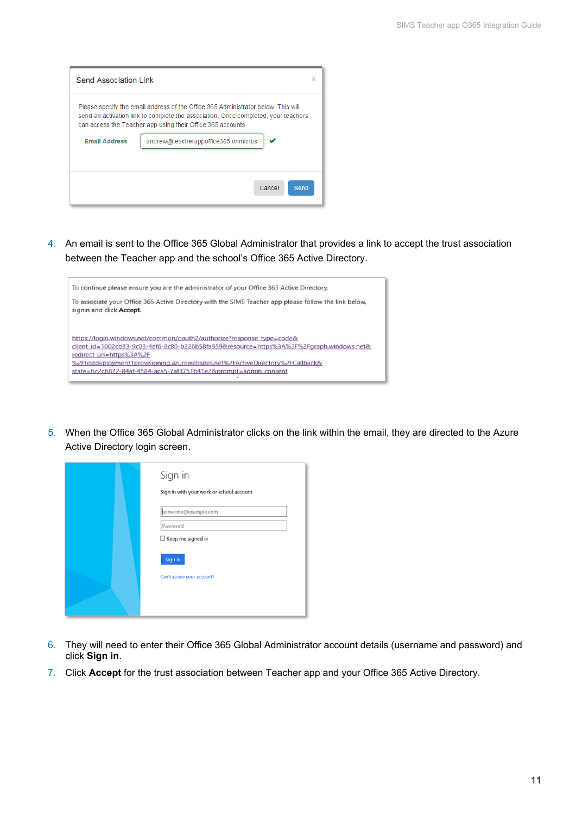| Send Association Link |                                                                                                                                                                                                                                                                               | × |
|-----------------------|-------------------------------------------------------------------------------------------------------------------------------------------------------------------------------------------------------------------------------------------------------------------------------|---|
| <b>Email Address</b>  | Please specify the email address of the Office 365 Administrator below. This will<br>send an activation link to complete the association. Once completed, your teachers<br>can access the Teacher app using their Office 365 accounts.<br>andrew@teacherappoffice365.onmicros |   |
|                       | <b>Send</b><br>Cancel                                                                                                                                                                                                                                                         |   |

4. An email is sent to the Office 365 Global Administrator that provides a link to accept the trust association between the Teacher app and the school's Office 365 Active Directory.



5. When the Office 365 Global Administrator clicks on the link within the email, they are directed to the Azure Active Directory login screen.

| Sign in<br>Sign in with your work or school account               |
|-------------------------------------------------------------------|
| someone@example.com<br>Password                                   |
| $\Box$ Keep me signed in<br>Sign in<br>Can't access your account? |
|                                                                   |

- 6. They will need to enter their Office 365 Global Administrator account details (username and password) and click **Sign in**.
- 7. Click **Accept** for the trust association between Teacher app and your Office 365 Active Directory.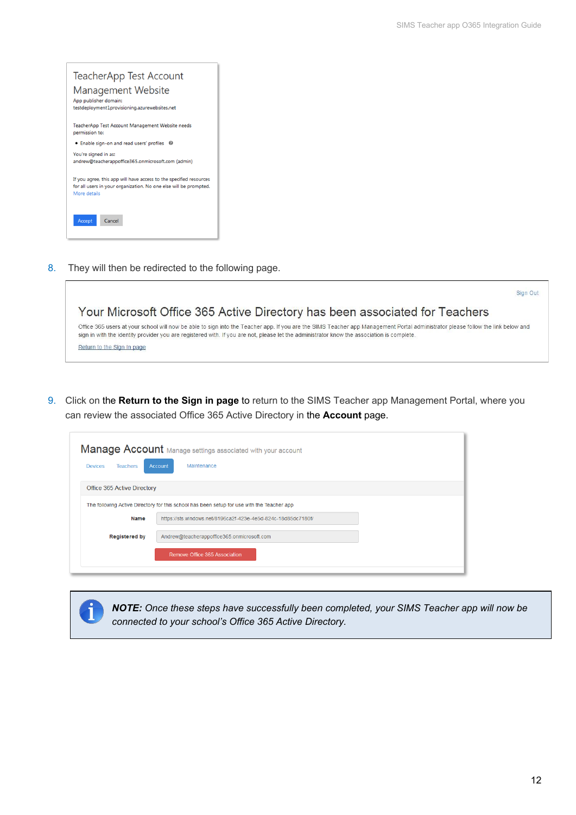

8. They will then be redirected to the following page.



9. Click on the **Return to the Sign in page** to return to the SIMS Teacher app Management Portal, where you can review the associated Office 365 Active Directory in the **Account** page.

| Manage Account Manage settings associated with your account |                                                                                            |  |  |
|-------------------------------------------------------------|--------------------------------------------------------------------------------------------|--|--|
| <b>Teachers</b><br><b>Devices</b>                           | Maintenance<br><b>Account</b>                                                              |  |  |
| Office 365 Active Directory                                 |                                                                                            |  |  |
|                                                             | The following Active Directory for this school has been setup for use with the Teacher app |  |  |
| Name                                                        | https://sts.windows.net/8196ca2f-423e-4e5d-824c-18d85dc7180f/                              |  |  |
| <b>Registered by</b>                                        | Andrew@teacherappoffice365.onmicrosoft.com                                                 |  |  |
|                                                             | Remove Office 365 Association                                                              |  |  |
|                                                             |                                                                                            |  |  |

*NOTE: Once these steps have successfully been completed, your SIMS Teacher app will now be connected to your school's Office 365 Active Directory.*